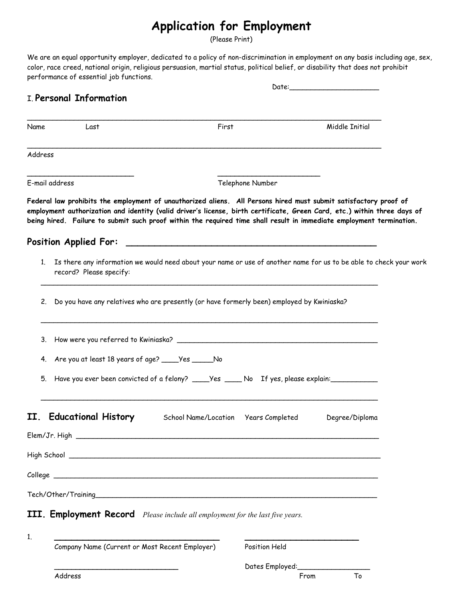## **Application for Employment**

(Please Print)

We are an equal opportunity employer, dedicated to a policy of non-discrimination in employment on any basis including age, sex, color, race creed, national origin, religious persuasion, martial status, political belief, or disability that does not prohibit performance of essential job functions.

|         |                                                                                                                                               |                                                                                                                                                                                                                                                                                                                                                                      | Date:_________________________ |  |  |  |
|---------|-----------------------------------------------------------------------------------------------------------------------------------------------|----------------------------------------------------------------------------------------------------------------------------------------------------------------------------------------------------------------------------------------------------------------------------------------------------------------------------------------------------------------------|--------------------------------|--|--|--|
|         | I. Personal Information                                                                                                                       |                                                                                                                                                                                                                                                                                                                                                                      |                                |  |  |  |
| Name    | Last                                                                                                                                          | First                                                                                                                                                                                                                                                                                                                                                                | Middle Initial                 |  |  |  |
| Address |                                                                                                                                               |                                                                                                                                                                                                                                                                                                                                                                      |                                |  |  |  |
|         | E-mail address                                                                                                                                | Telephone Number                                                                                                                                                                                                                                                                                                                                                     |                                |  |  |  |
|         |                                                                                                                                               | Federal law prohibits the employment of unauthorized aliens. All Persons hired must submit satisfactory proof of<br>employment authorization and identity (valid driver's license, birth certificate, Green Card, etc.) within three days of<br>being hired. Failure to submit such proof within the required time shall result in immediate employment termination. |                                |  |  |  |
|         | <b>Position Applied For:</b>                                                                                                                  |                                                                                                                                                                                                                                                                                                                                                                      |                                |  |  |  |
| 1.      | Is there any information we would need about your name or use of another name for us to be able to check your work<br>record? Please specify: |                                                                                                                                                                                                                                                                                                                                                                      |                                |  |  |  |
| 2.      | Do you have any relatives who are presently (or have formerly been) employed by Kwiniaska?                                                    |                                                                                                                                                                                                                                                                                                                                                                      |                                |  |  |  |
|         |                                                                                                                                               |                                                                                                                                                                                                                                                                                                                                                                      |                                |  |  |  |
|         | 4. Are you at least 18 years of age? _____Yes ______No                                                                                        |                                                                                                                                                                                                                                                                                                                                                                      |                                |  |  |  |
| 5.      |                                                                                                                                               | Have you ever been convicted of a felony? _____Yes _____ No If yes, please explain:                                                                                                                                                                                                                                                                                  |                                |  |  |  |
|         | <b>Educational History</b>                                                                                                                    | School Name/Location    Years Completed                                                                                                                                                                                                                                                                                                                              | Degree/Diploma                 |  |  |  |
|         |                                                                                                                                               |                                                                                                                                                                                                                                                                                                                                                                      |                                |  |  |  |
|         |                                                                                                                                               |                                                                                                                                                                                                                                                                                                                                                                      |                                |  |  |  |
|         |                                                                                                                                               |                                                                                                                                                                                                                                                                                                                                                                      |                                |  |  |  |
|         |                                                                                                                                               |                                                                                                                                                                                                                                                                                                                                                                      |                                |  |  |  |
|         |                                                                                                                                               | III. Employment Record Please include all employment for the last five years.                                                                                                                                                                                                                                                                                        |                                |  |  |  |
| 1.      | Company Name (Current or Most Recent Employer)                                                                                                |                                                                                                                                                                                                                                                                                                                                                                      | Position Held                  |  |  |  |

Dates Employed: